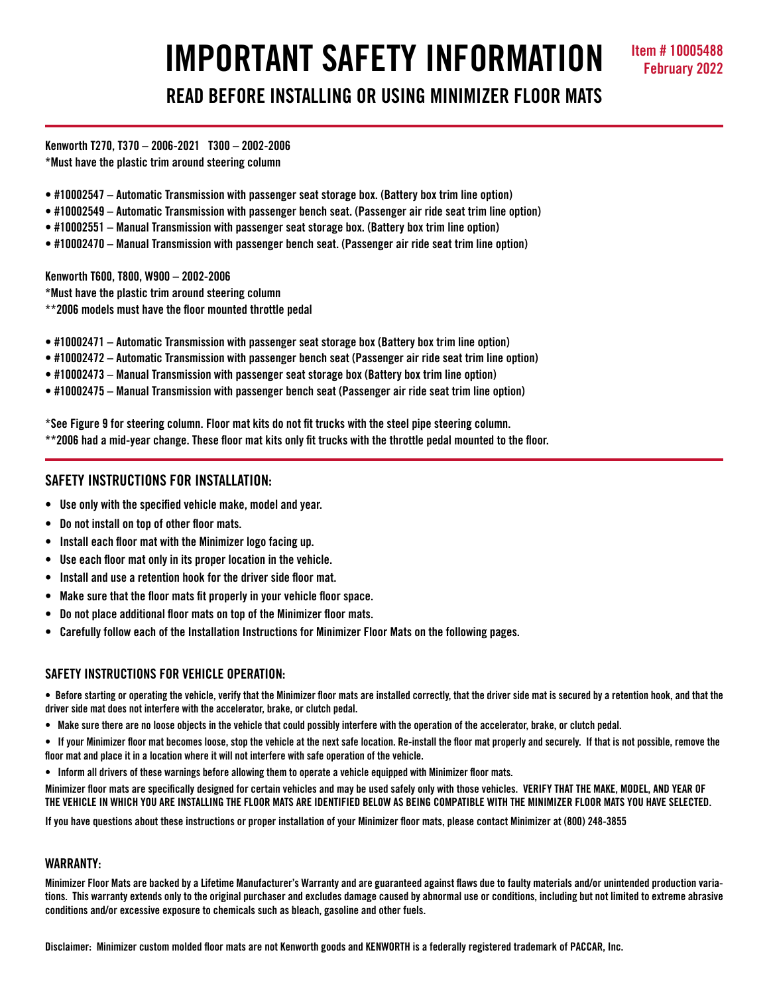# **IMPORTANT SAFETY INFORMATION Item # 10005488 READ BEFORE INSTALLING OR USING MINIMIZER FLOOR MATS**

**Kenworth T270, T370 – 2006-2021 T300 – 2002-2006 \*Must have the plastic trim around steering column**

- **#10002547 Automatic Transmission with passenger seat storage box. (Battery box trim line option)**
- **#10002549 Automatic Transmission with passenger bench seat. (Passenger air ride seat trim line option)**
- **#10002551 Manual Transmission with passenger seat storage box. (Battery box trim line option)**
- **#10002470 Manual Transmission with passenger bench seat. (Passenger air ride seat trim line option)**

**Kenworth T600, T800, W900 – 2002-2006** 

**\*Must have the plastic trim around steering column**

**\*\*2006 models must have the floor mounted throttle pedal**

- **#10002471 Automatic Transmission with passenger seat storage box (Battery box trim line option)**
- **#10002472 Automatic Transmission with passenger bench seat (Passenger air ride seat trim line option)**
- **#10002473 Manual Transmission with passenger seat storage box (Battery box trim line option)**
- **#10002475 Manual Transmission with passenger bench seat (Passenger air ride seat trim line option)**

**\*See Figure 9 for steering column. Floor mat kits do not fit trucks with the steel pipe steering column. \*\*2006 had a mid-year change. These floor mat kits only fit trucks with the throttle pedal mounted to the floor.** 

# **SAFETY INSTRUCTIONS FOR INSTALLATION:**

- **Use only with the specified vehicle make, model and year.**
- **Do not install on top of other floor mats.**
- **Install each floor mat with the Minimizer logo facing up.**
- **Use each floor mat only in its proper location in the vehicle.**
- **Install and use a retention hook for the driver side floor mat.**
- **Make sure that the floor mats fit properly in your vehicle floor space.**
- **Do not place additional floor mats on top of the Minimizer floor mats.**
- **Carefully follow each of the Installation Instructions for Minimizer Floor Mats on the following pages.**

# **SAFETY INSTRUCTIONS FOR VEHICLE OPERATION:**

**• Before starting or operating the vehicle, verify that the Minimizer floor mats are installed correctly, that the driver side mat is secured by a retention hook, and that the driver side mat does not interfere with the accelerator, brake, or clutch pedal.**

- **Make sure there are no loose objects in the vehicle that could possibly interfere with the operation of the accelerator, brake, or clutch pedal.**
- **If your Minimizer floor mat becomes loose, stop the vehicle at the next safe location. Re-install the floor mat properly and securely. If that is not possible, remove the floor mat and place it in a location where it will not interfere with safe operation of the vehicle.**
- **Inform all drivers of these warnings before allowing them to operate a vehicle equipped with Minimizer floor mats.**

**Minimizer floor mats are specifically designed for certain vehicles and may be used safely only with those vehicles. VERIFY THAT THE MAKE, MODEL, AND YEAR OF THE VEHICLE IN WHICH YOU ARE INSTALLING THE FLOOR MATS ARE IDENTIFIED BELOW AS BEING COMPATIBLE WITH THE MINIMIZER FLOOR MATS YOU HAVE SELECTED.** 

**If you have questions about these instructions or proper installation of your Minimizer floor mats, please contact Minimizer at (800) 248-3855**

#### **WARRANTY:**

**Minimizer Floor Mats are backed by a Lifetime Manufacturer's Warranty and are guaranteed against flaws due to faulty materials and/or unintended production variations. This warranty extends only to the original purchaser and excludes damage caused by abnormal use or conditions, including but not limited to extreme abrasive conditions and/or excessive exposure to chemicals such as bleach, gasoline and other fuels.**

**Disclaimer: Minimizer custom molded floor mats are not Kenworth goods and KENWORTH is a federally registered trademark of PACCAR, Inc.**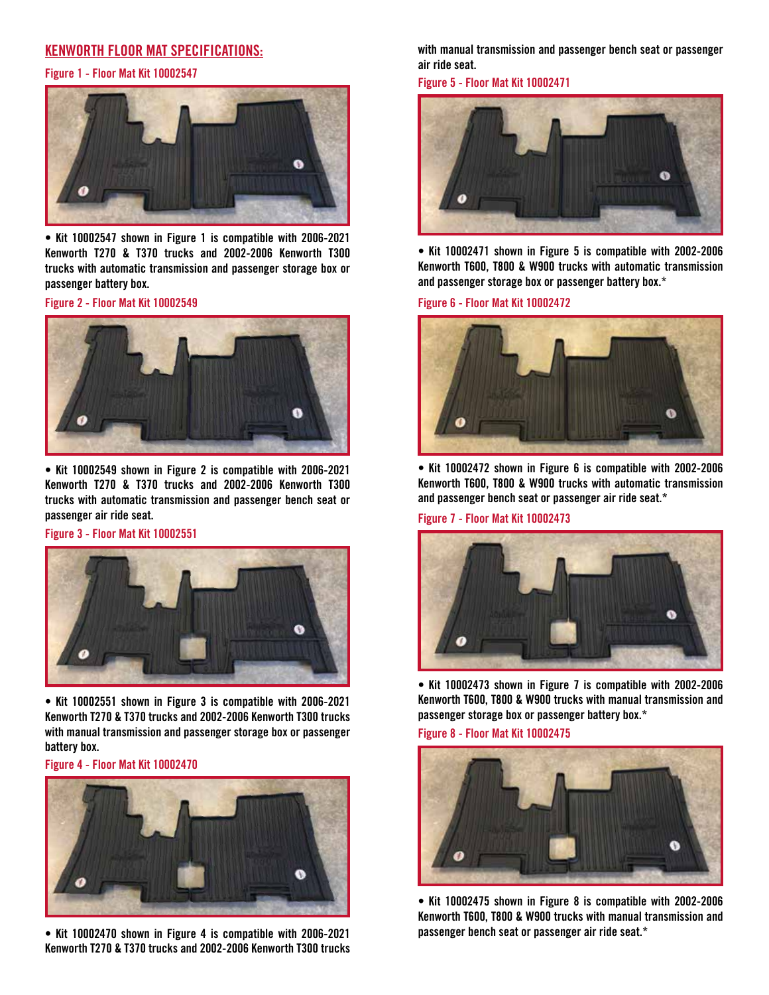# **KENWORTH FLOOR MAT SPECIFICATIONS:**



**• Kit 10002547 shown in Figure 1 is compatible with 2006-2021 Kenworth T270 & T370 trucks and 2002-2006 Kenworth T300 trucks with automatic transmission and passenger storage box or passenger battery box.** 

**Figure 2 - Floor Mat Kit 10002549**



**• Kit 10002549 shown in Figure 2 is compatible with 2006-2021 Kenworth T270 & T370 trucks and 2002-2006 Kenworth T300 trucks with automatic transmission and passenger bench seat or passenger air ride seat.**

**Figure 3 - Floor Mat Kit 10002551**



**• Kit 10002551 shown in Figure 3 is compatible with 2006-2021 Kenworth T270 & T370 trucks and 2002-2006 Kenworth T300 trucks with manual transmission and passenger storage box or passenger battery box.**

**Figure 4 - Floor Mat Kit 10002470**



**• Kit 10002470 shown in Figure 4 is compatible with 2006-2021 Kenworth T270 & T370 trucks and 2002-2006 Kenworth T300 trucks** 

**with manual transmission and passenger bench seat or passenger air ride seat.**



**• Kit 10002471 shown in Figure 5 is compatible with 2002-2006 Kenworth T600, T800 & W900 trucks with automatic transmission and passenger storage box or passenger battery box.\***

**Figure 6 - Floor Mat Kit 10002472**



**• Kit 10002472 shown in Figure 6 is compatible with 2002-2006 Kenworth T600, T800 & W900 trucks with automatic transmission and passenger bench seat or passenger air ride seat.\***

**Figure 7 - Floor Mat Kit 10002473**



**• Kit 10002473 shown in Figure 7 is compatible with 2002-2006 Kenworth T600, T800 & W900 trucks with manual transmission and passenger storage box or passenger battery box.\***

**Figure 8 - Floor Mat Kit 10002475**



**• Kit 10002475 shown in Figure 8 is compatible with 2002-2006 Kenworth T600, T800 & W900 trucks with manual transmission and passenger bench seat or passenger air ride seat.\***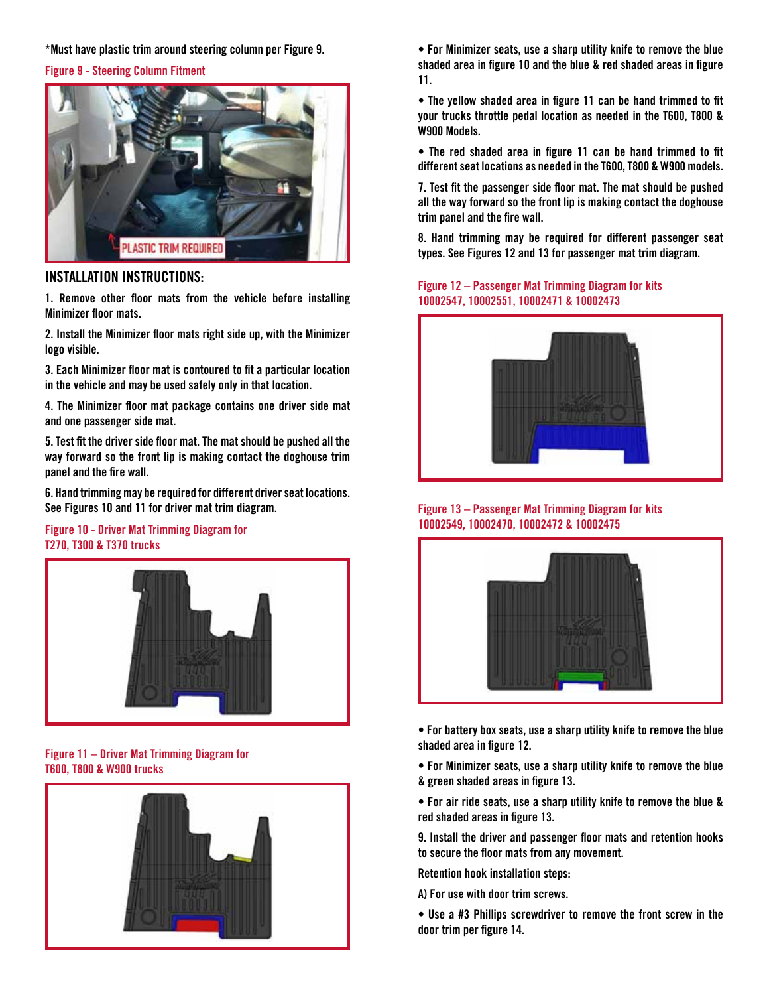#### **\*Must have plastic trim around steering column per Figure 9.**

#### **Figure 9 - Steering Column Fitment**



# **INSTALLATION INSTRUCTIONS:**

**1. Remove other floor mats from the vehicle before installing Minimizer floor mats.**

**2. Install the Minimizer floor mats right side up, with the Minimizer logo visible.**

**3. Each Minimizer floor mat is contoured to fit a particular location in the vehicle and may be used safely only in that location.**

**4. The Minimizer floor mat package contains one driver side mat and one passenger side mat.**

**5. Test fit the driver side floor mat. The mat should be pushed all the way forward so the front lip is making contact the doghouse trim panel and the fire wall.**

**6. Hand trimming may be required for different driver seat locations. See Figures 10 and 11 for driver mat trim diagram.**

#### **Figure 10 - Driver Mat Trimming Diagram for T270, T300 & T370 trucks**



## **Figure 11 – Driver Mat Trimming Diagram for T600, T800 & W900 trucks**



**• For Minimizer seats, use a sharp utility knife to remove the blue shaded area in figure 10 and the blue & red shaded areas in figure 11.**

**• The yellow shaded area in figure 11 can be hand trimmed to fit your trucks throttle pedal location as needed in the T600, T800 & W900 Models.**

**• The red shaded area in figure 11 can be hand trimmed to fit different seat locations as needed in the T600, T800 & W900 models.**

**7. Test fit the passenger side floor mat. The mat should be pushed all the way forward so the front lip is making contact the doghouse trim panel and the fire wall.**

**8. Hand trimming may be required for different passenger seat types. See Figures 12 and 13 for passenger mat trim diagram.**

# **Figure 12 – Passenger Mat Trimming Diagram for kits 10002547, 10002551, 10002471 & 10002473**



#### **Figure 13 – Passenger Mat Trimming Diagram for kits 10002549, 10002470, 10002472 & 10002475**



**• For battery box seats, use a sharp utility knife to remove the blue shaded area in figure 12.**

**• For Minimizer seats, use a sharp utility knife to remove the blue & green shaded areas in figure 13.**

**• For air ride seats, use a sharp utility knife to remove the blue & red shaded areas in figure 13.**

**9. Install the driver and passenger floor mats and retention hooks to secure the floor mats from any movement.** 

**Retention hook installation steps:**

**A) For use with door trim screws.**

**• Use a #3 Phillips screwdriver to remove the front screw in the door trim per figure 14.**